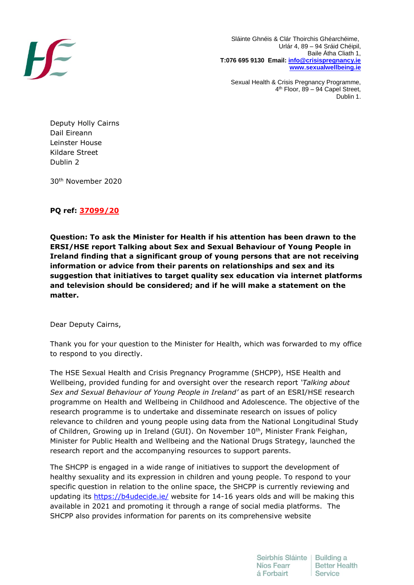

 Sláinte Ghnéis & Clár Thoirchis Ghéarchéime, Urlár 4, 89 – 94 Sráid Chéipil, Baile Átha Cliath 1, **T:076 695 9130 Email: [info@crisispregnancy.ie](mailto:info@crisispregnancy.ie) [www.sexualwellbeing.ie](http://www.sexualwellbeing.ie/)**

Sexual Health & Crisis Pregnancy Programme, 4 th Floor, 89 – 94 Capel Street, Dublin 1.

Deputy Holly Cairns Dail Eireann Leinster House Kildare Street Dublin 2

30th November 2020

# **PQ ref: 37099/20**

**Question: To ask the Minister for Health if his attention has been drawn to the ERSI/HSE report Talking about Sex and Sexual Behaviour of Young People in Ireland finding that a significant group of young persons that are not receiving information or advice from their parents on relationships and sex and its suggestion that initiatives to target quality sex education via internet platforms and television should be considered; and if he will make a statement on the matter.**

Dear Deputy Cairns,

Thank you for your question to the Minister for Health, which was forwarded to my office to respond to you directly.

The HSE Sexual Health and Crisis Pregnancy Programme (SHCPP), HSE Health and Wellbeing, provided funding for and oversight over the research report *'Talking about Sex and Sexual Behaviour of Young People in Ireland'* as part of an ESRI/HSE research programme on Health and Wellbeing in Childhood and Adolescence. The objective of the research programme is to undertake and disseminate research on issues of policy relevance to children and young people using data from the National Longitudinal Study of Children, Growing up in Ireland (GUI). On November 10<sup>th</sup>, Minister Frank Feighan, Minister for Public Health and Wellbeing and the National Drugs Strategy, launched the research report and the accompanying resources to support parents.

The SHCPP is engaged in a wide range of initiatives to support the development of healthy sexuality and its expression in children and young people. To respond to your specific question in relation to the online space, the SHCPP is currently reviewing and updating its<https://b4udecide.ie/> website for 14-16 years olds and will be making this available in 2021 and promoting it through a range of social media platforms. The SHCPP also provides information for parents on its comprehensive website

> Seirbhís Sláinte | Building a Níos Fearr **Better Health** á Forbairt Service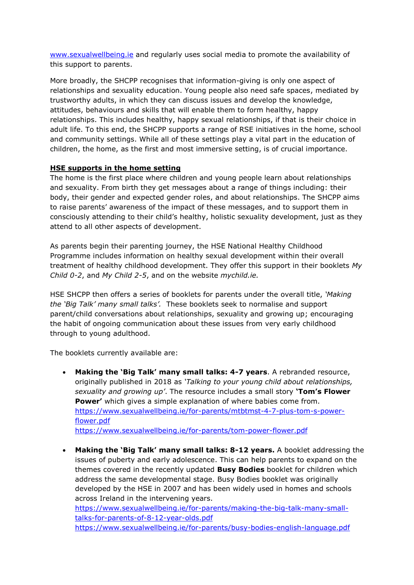[www.sexualwellbeing.ie](http://www.sexualwellbeing.ie/) and regularly uses social media to promote the availability of this support to parents.

More broadly, the SHCPP recognises that information-giving is only one aspect of relationships and sexuality education. Young people also need safe spaces, mediated by trustworthy adults, in which they can discuss issues and develop the knowledge, attitudes, behaviours and skills that will enable them to form healthy, happy relationships. This includes healthy, happy sexual relationships, if that is their choice in adult life. To this end, the SHCPP supports a range of RSE initiatives in the home, school and community settings. While all of these settings play a vital part in the education of children, the home, as the first and most immersive setting, is of crucial importance.

## **HSE supports in the home setting**

The home is the first place where children and young people learn about relationships and sexuality. From birth they get messages about a range of things including: their body, their gender and expected gender roles, and about relationships. The SHCPP aims to raise parents' awareness of the impact of these messages, and to support them in consciously attending to their child's healthy, holistic sexuality development, just as they attend to all other aspects of development.

As parents begin their parenting journey, the HSE National Healthy Childhood Programme includes information on healthy sexual development within their overall treatment of healthy childhood development. They offer this support in their booklets *My Child 0-2*, and *My Child 2-5*, and on the website *mychild.ie.*

HSE SHCPP then offers a series of booklets for parents under the overall title, *'Making the 'Big Talk' many small talks'.* These booklets seek to normalise and support parent/child conversations about relationships, sexuality and growing up; encouraging the habit of ongoing communication about these issues from very early childhood through to young adulthood.

The booklets currently available are:

- **Making the 'Big Talk' many small talks: 4-7 years**. A rebranded resource, originally published in 2018 as *'Talking to your young child about relationships, sexuality and growing up'*. The resource includes a small story **'Tom's Flower Power'** which gives a simple explanation of where babies come from. [https://www.sexualwellbeing.ie/for-parents/mtbtmst-4-7-plus-tom-s-power](https://www.sexualwellbeing.ie/for-parents/mtbtmst-4-7-plus-tom-s-power-flower.pdf)[flower.pdf](https://www.sexualwellbeing.ie/for-parents/mtbtmst-4-7-plus-tom-s-power-flower.pdf) <https://www.sexualwellbeing.ie/for-parents/tom-power-flower.pdf>
- **Making the 'Big Talk' many small talks: 8-12 years.** A booklet addressing the issues of puberty and early adolescence. This can help parents to expand on the themes covered in the recently updated **Busy Bodies** booklet for children which address the same developmental stage. Busy Bodies booklet was originally developed by the HSE in 2007 and has been widely used in homes and schools across Ireland in the intervening years.

[https://www.sexualwellbeing.ie/for-parents/making-the-big-talk-many-small](https://www.sexualwellbeing.ie/for-parents/making-the-big-talk-many-small-talks-for-parents-of-8-12-year-olds.pdf)[talks-for-parents-of-8-12-year-olds.pdf](https://www.sexualwellbeing.ie/for-parents/making-the-big-talk-many-small-talks-for-parents-of-8-12-year-olds.pdf) <https://www.sexualwellbeing.ie/for-parents/busy-bodies-english-language.pdf>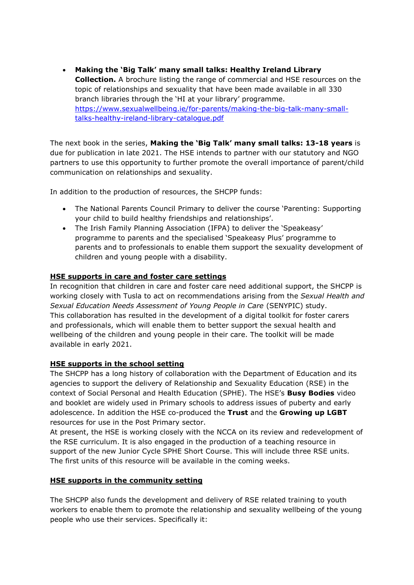**Making the 'Big Talk' many small talks: Healthy Ireland Library Collection.** A brochure listing the range of commercial and HSE resources on the topic of relationships and sexuality that have been made available in all 330 branch libraries through the 'HI at your library' programme. [https://www.sexualwellbeing.ie/for-parents/making-the-big-talk-many-small](https://www.sexualwellbeing.ie/for-parents/making-the-big-talk-many-small-talks-healthy-ireland-library-catalogue.pdf)[talks-healthy-ireland-library-catalogue.pdf](https://www.sexualwellbeing.ie/for-parents/making-the-big-talk-many-small-talks-healthy-ireland-library-catalogue.pdf)

The next book in the series, **Making the 'Big Talk' many small talks: 13-18 years** is due for publication in late 2021. The HSE intends to partner with our statutory and NGO partners to use this opportunity to further promote the overall importance of parent/child communication on relationships and sexuality.

In addition to the production of resources, the SHCPP funds:

- The National Parents Council Primary to deliver the course 'Parenting: Supporting your child to build healthy friendships and relationships'.
- The Irish Family Planning Association (IFPA) to deliver the 'Speakeasy' programme to parents and the specialised 'Speakeasy Plus' programme to parents and to professionals to enable them support the sexuality development of children and young people with a disability.

### **HSE supports in care and foster care settings**

In recognition that children in care and foster care need additional support, the SHCPP is working closely with Tusla to act on recommendations arising from the *Sexual Health and Sexual Education Needs Assessment of Young People in Care* (SENYPIC) study. This collaboration has resulted in the development of a digital toolkit for foster carers and professionals, which will enable them to better support the sexual health and wellbeing of the children and young people in their care. The toolkit will be made available in early 2021.

#### **HSE supports in the school setting**

The SHCPP has a long history of collaboration with the Department of Education and its agencies to support the delivery of Relationship and Sexuality Education (RSE) in the context of Social Personal and Health Education (SPHE). The HSE's **Busy Bodies** video and booklet are widely used in Primary schools to address issues of puberty and early adolescence. In addition the HSE co-produced the **Trust** and the **Growing up LGBT**  resources for use in the Post Primary sector.

At present, the HSE is working closely with the NCCA on its review and redevelopment of the RSE curriculum. It is also engaged in the production of a teaching resource in support of the new Junior Cycle SPHE Short Course. This will include three RSE units. The first units of this resource will be available in the coming weeks.

#### **HSE supports in the community setting**

The SHCPP also funds the development and delivery of RSE related training to youth workers to enable them to promote the relationship and sexuality wellbeing of the young people who use their services. Specifically it: